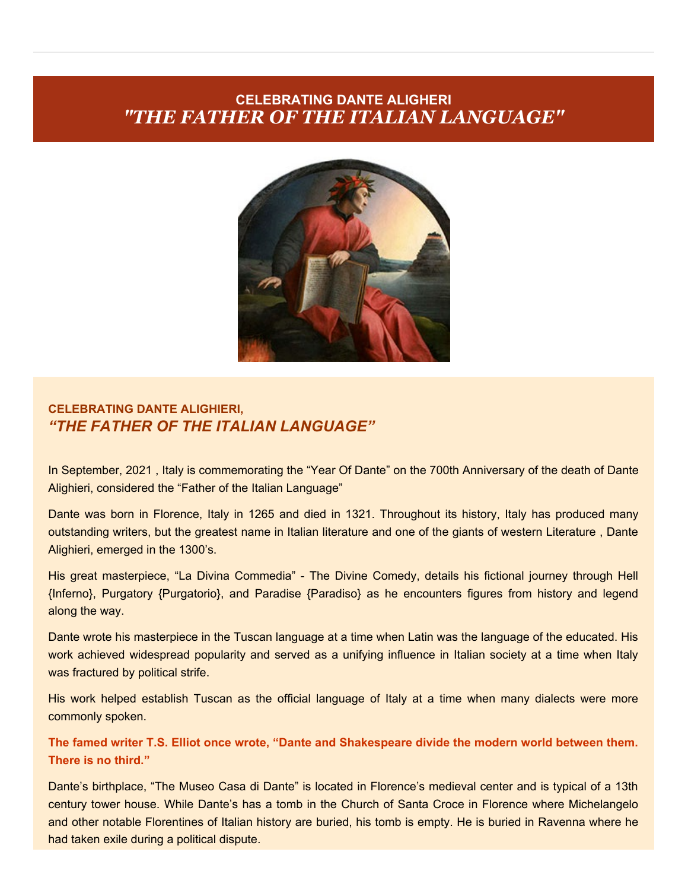## **CELEBRATING DANTE ALIGHERI** *"THE FATHER OF THE ITALIAN LANGUAGE"*



## **CELEBRATING DANTE ALIGHIERI,** *"THE FATHER OF THE ITALIAN LANGUAGE"*

In September, 2021 , Italy is commemorating the "Year Of Dante" on the 700th Anniversary of the death of Dante Alighieri, considered the "Father of the Italian Language"

Dante was born in Florence, Italy in 1265 and died in 1321. Throughout its history, Italy has produced many outstanding writers, but the greatest name in Italian literature and one of the giants of western Literature, Dante Alighieri, emerged in the 1300's.

His great masterpiece, "La Divina Commedia" - The Divine Comedy, details his fictional journey through Hell {Inferno}, Purgatory {Purgatorio}, and Paradise {Paradiso} as he encounters figures from history and legend along the way.

Dante wrote his masterpiece in the Tuscan language at a time when Latin was the language of the educated. His work achieved widespread popularity and served as a unifying influence in Italian society at a time when Italy was fractured by political strife.

His work helped establish Tuscan as the official language of Italy at a time when many dialects were more commonly spoken.

**The famed writer T.S. Elliot once wrote, "Dante and Shakespeare divide the modern world between them. There is no third."**

Dante's birthplace, "The Museo Casa di Dante" is located in Florence's medieval center and is typical of a 13th century tower house. While Dante's has a tomb in the Church of Santa Croce in Florence where Michelangelo and other notable Florentines of Italian history are buried, his tomb is empty. He is buried in Ravenna where he had taken exile during a political dispute.